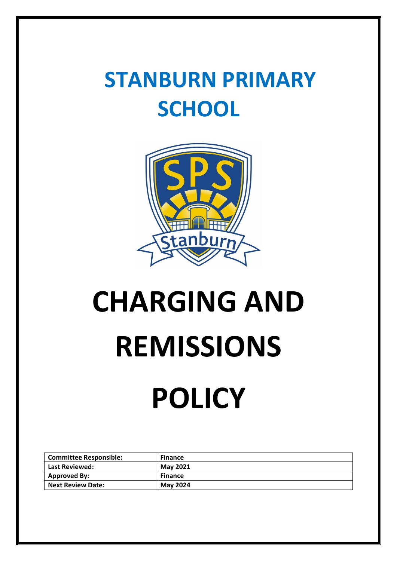### **STANBURN PRIMARY SCHOOL**



# **CHARGING AND REMISSIONS**

## **POLICY**

| <b>Committee Responsible:</b> | <b>Finance</b>  |
|-------------------------------|-----------------|
| Last Reviewed:                | <b>May 2021</b> |
| <b>Approved By:</b>           | <b>Finance</b>  |
| <b>Next Review Date:</b>      | <b>May 2024</b> |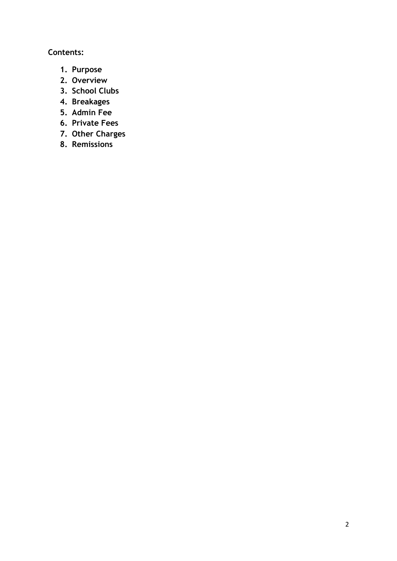#### **Contents:**

- **1. Purpose**
- **2. Overview**
- **3. School Clubs**
- **4. Breakages**
- **5. Admin Fee**
- **6. Private Fees**
- **7. Other Charges**
- **8. Remissions**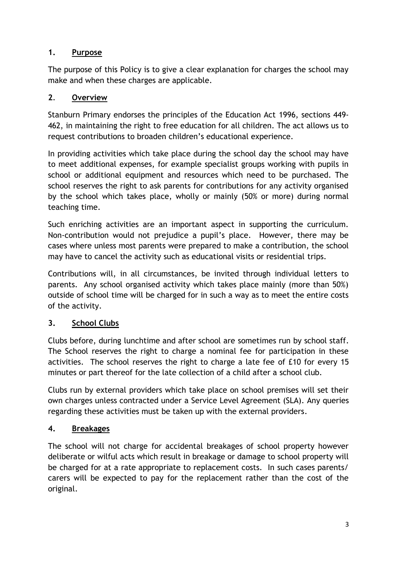#### **1. Purpose**

The purpose of this Policy is to give a clear explanation for charges the school may make and when these charges are applicable.

#### **2**. **Overview**

Stanburn Primary endorses the principles of the Education Act 1996, sections 449- 462, in maintaining the right to free education for all children. The act allows us to request contributions to broaden children's educational experience.

In providing activities which take place during the school day the school may have to meet additional expenses, for example specialist groups working with pupils in school or additional equipment and resources which need to be purchased. The school reserves the right to ask parents for contributions for any activity organised by the school which takes place, wholly or mainly (50% or more) during normal teaching time.

Such enriching activities are an important aspect in supporting the curriculum. Non-contribution would not prejudice a pupil's place. However, there may be cases where unless most parents were prepared to make a contribution, the school may have to cancel the activity such as educational visits or residential trips.

Contributions will, in all circumstances, be invited through individual letters to parents. Any school organised activity which takes place mainly (more than 50%) outside of school time will be charged for in such a way as to meet the entire costs of the activity.

#### **3. School Clubs**

Clubs before, during lunchtime and after school are sometimes run by school staff. The School reserves the right to charge a nominal fee for participation in these activities. The school reserves the right to charge a late fee of £10 for every 15 minutes or part thereof for the late collection of a child after a school club.

Clubs run by external providers which take place on school premises will set their own charges unless contracted under a Service Level Agreement (SLA). Any queries regarding these activities must be taken up with the external providers.

#### **4. Breakages**

The school will not charge for accidental breakages of school property however deliberate or wilful acts which result in breakage or damage to school property will be charged for at a rate appropriate to replacement costs. In such cases parents/ carers will be expected to pay for the replacement rather than the cost of the original.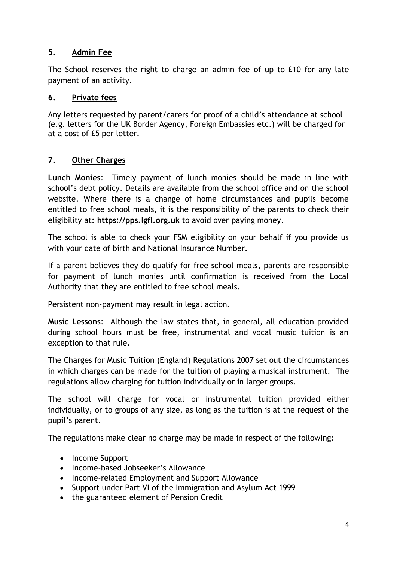#### **5. Admin Fee**

The School reserves the right to charge an admin fee of up to £10 for any late payment of an activity.

#### **6. Private fees**

Any letters requested by parent/carers for proof of a child's attendance at school (e.g. letters for the UK Border Agency, Foreign Embassies etc.) will be charged for at a cost of £5 per letter.

#### **7. Other Charges**

**Lunch Monies**: Timely payment of lunch monies should be made in line with school's debt policy. Details are available from the school office and on the school website. Where there is a change of home circumstances and pupils become entitled to free school meals, it is the responsibility of the parents to check their eligibility at: **https://pps.lgfl.org.uk** to avoid over paying money.

The school is able to check your FSM eligibility on your behalf if you provide us with your date of birth and National Insurance Number.

If a parent believes they do qualify for free school meals, parents are responsible for payment of lunch monies until confirmation is received from the Local Authority that they are entitled to free school meals.

Persistent non-payment may result in legal action.

**Music Lessons**: Although the law states that, in general, all education provided during school hours must be free, instrumental and vocal music tuition is an exception to that rule.

The Charges for Music Tuition (England) Regulations 2007 set out the circumstances in which charges can be made for the tuition of playing a musical instrument. The regulations allow charging for tuition individually or in larger groups.

The school will charge for vocal or instrumental tuition provided either individually, or to groups of any size, as long as the tuition is at the request of the pupil's parent.

The regulations make clear no charge may be made in respect of the following:

- Income Support
- Income-based Jobseeker's Allowance
- Income-related Employment and Support Allowance
- Support under Part VI of the Immigration and Asylum Act 1999
- the guaranteed element of Pension Credit